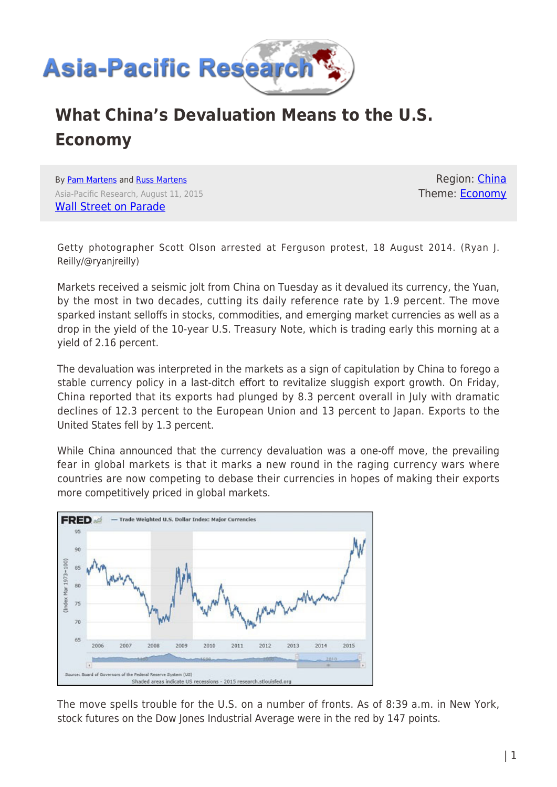

## **What China's Devaluation Means to the U.S. Economy**

By [Pam Martens](https://www.asia-pacificresearch.com/author/pam-martens) and [Russ Martens](https://www.asia-pacificresearch.com/author/russmartens) Asia-Pacific Research, August 11, 2015 [Wall Street on Parade](http://wallstreetonparade.com/2015/08/what-chinas-devaluation-means-to-the-u-s-economy/)

Region: [China](https://www.asia-pacificresearch.com/region/china) Theme: [Economy](https://www.asia-pacificresearch.com/theme/as-economy)

Getty photographer Scott Olson arrested at Ferguson protest, 18 August 2014. (Ryan J. Reilly/@ryanjreilly)

Markets received a seismic jolt from China on Tuesday as it devalued its currency, the Yuan, by the most in two decades, cutting its daily reference rate by 1.9 percent. The move sparked instant selloffs in stocks, commodities, and emerging market currencies as well as a drop in the yield of the 10-year U.S. Treasury Note, which is trading early this morning at a yield of 2.16 percent.

The devaluation was interpreted in the markets as a sign of capitulation by China to forego a stable currency policy in a last-ditch effort to revitalize sluggish export growth. On Friday, China reported that its exports had plunged by 8.3 percent overall in July with dramatic declines of 12.3 percent to the European Union and 13 percent to Japan. Exports to the United States fell by 1.3 percent.

While China announced that the currency devaluation was a one-off move, the prevailing fear in global markets is that it marks a new round in the raging currency wars where countries are now competing to debase their currencies in hopes of making their exports more competitively priced in global markets.



The move spells trouble for the U.S. on a number of fronts. As of 8:39 a.m. in New York, stock futures on the Dow Jones Industrial Average were in the red by 147 points.